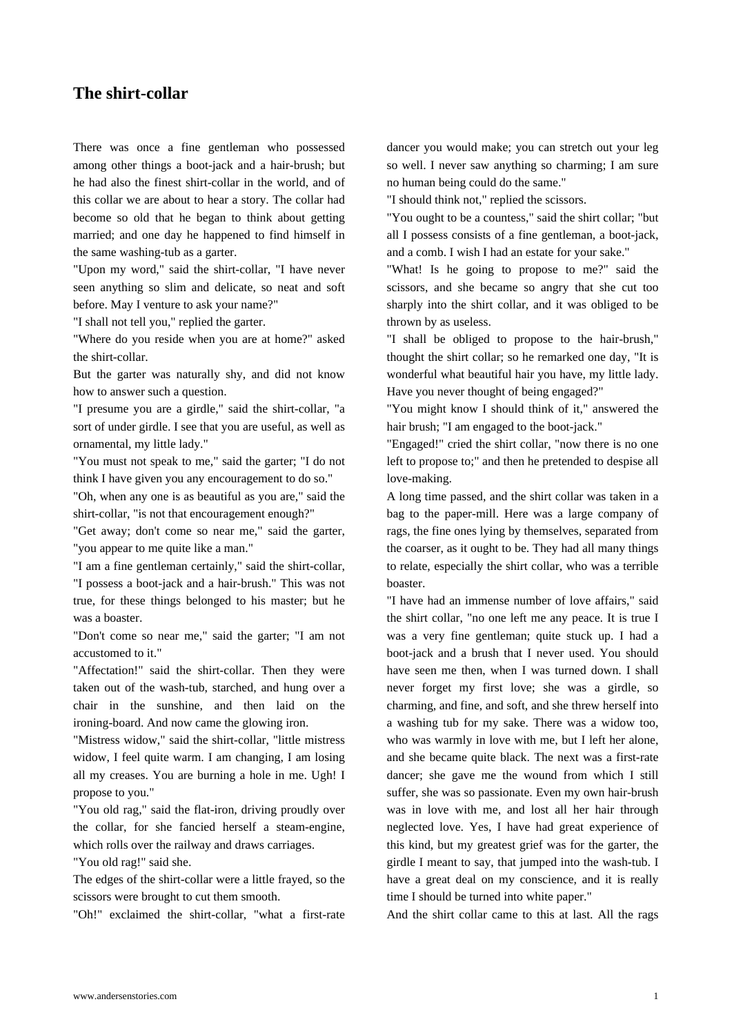[There was once a fi](https://www.andersenstories.com/en/andersen_fairy-tales/the_shirt_collar)ne gentleman who possessed among other things a boot-jack and a hair-brush; but he had also the finest shirt-collar in the world, and of this collar we are about to hear a story. The collar had become so old that he began to think about getting married; and one day he happened to find himself in the same washing-tub as a garter.

"Upon my word," said the shirt-collar, "I have never seen anything so slim and delicate, so neat and soft before. May I venture to ask your name?"

"I shall not tell you," replied the garter.

"Where do you reside when you are at home?" asked the shirt-collar.

But the garter was naturally shy, and did not know how to answer such a question.

"I presume you are a girdle," said the shirt-collar, "a sort of under girdle. I see that you are useful, as well as ornamental, my little lady."

"You must not speak to me," said the garter; "I do not think I have given you any encouragement to do so."

"Oh, when any one is as beautiful as you are," said the shirt-collar, "is not that encouragement enough?"

"Get away; don't come so near me," said the garter, "you appear to me quite like a man."

"I am a fine gentleman certainly," said the shirt-collar, "I possess a boot-jack and a hair-brush." This was not true, for these things belonged to his master; but he was a boaster.

"Don't come so near me," said the garter; "I am not accustomed to it."

"Affectation!" said the shirt-collar. Then they were taken out of the wash-tub, starched, and hung over a chair in the sunshine, and then laid on the ironing-board. And now came the glowing iron.

"Mistress widow," said the shirt-collar, "little mistress widow, I feel quite warm. I am changing, I am losing all my creases. You are burning a hole in me. Ugh! I propose to you."

"You old rag," said the flat-iron, driving proudly over the collar, for she fancied herself a steam-engine, which rolls over the railway and draws carriages.

"You old rag!" said she.

The edges of the shirt-collar were a little frayed, so the scissors were brought to cut them smooth.

"Oh!" exclaimed the shirt-collar, "what a first-rate

dancer you would make; you can stretch out your leg so well. I never saw anything so charming; I am sure no human being could do the same."

"I should think not," replied the scissors.

"You ought to be a countess," said the shirt collar; "but all I possess consists of a fine gentleman, a boot-jack, and a comb. I wish I had an estate for your sake."

"What! Is he going to propose to me?" said the scissors, and she became so angry that she cut too sharply into the shirt collar, and it was obliged to be thrown by as useless.

"I shall be obliged to propose to the hair-brush," thought the shirt collar; so he remarked one day, "It is wonderful what beautiful hair you have, my little lady. Have you never thought of being engaged?"

"You might know I should think of it," answered the hair brush; "I am engaged to the boot-jack."

"Engaged!" cried the shirt collar, "now there is no one left to propose to;" and then he pretended to despise all love-making.

A long time passed, and the shirt collar was taken in a bag to the paper-mill. Here was a large company of rags, the fine ones lying by themselves, separated from the coarser, as it ought to be. They had all many things to relate, especially the shirt collar, who was a terrible boaster.

"I have had an immense number of love affairs," said the shirt collar, "no one left me any peace. It is true I was a very fine gentleman; quite stuck up. I had a boot-jack and a brush that I never used. You should have seen me then, when I was turned down. I shall never forget my first love; she was a girdle, so charming, and fine, and soft, and she threw herself into a washing tub for my sake. There was a widow too, who was warmly in love with me, but I left her alone, and she became quite black. The next was a first-rate dancer; she gave me the wound from which I still suffer, she was so passionate. Even my own hair-brush was in love with me, and lost all her hair through neglected love. Yes, I have had great experience of this kind, but my greatest grief was for the garter, the girdle I meant to say, that jumped into the wash-tub. I have a great deal on my conscience, and it is really time I should be turned into white paper."

And the shirt collar came to this at last. All the rags